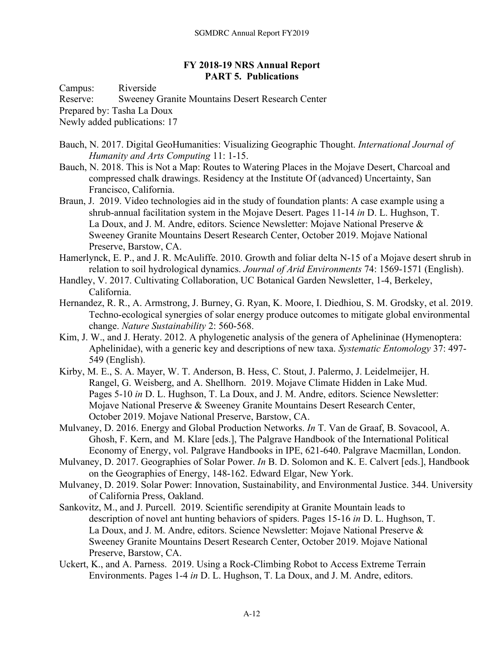## **FY 2018-19 NRS Annual Report PART 5. Publications**

Campus: Riverside

Reserve: Sweeney Granite Mountains Desert Research Center

Prepared by: Tasha La Doux

Newly added publications: 17

- Bauch, N. 2017. Digital GeoHumanities: Visualizing Geographic Thought. *International Journal of Humanity and Arts Computing* 11: 1-15.
- Bauch, N. 2018. This is Not a Map: Routes to Watering Places in the Mojave Desert, Charcoal and compressed chalk drawings. Residency at the Institute Of (advanced) Uncertainty, San Francisco, California.
- Braun, J. 2019. Video technologies aid in the study of foundation plants: A case example using a shrub-annual facilitation system in the Mojave Desert. Pages 11-14 *in* D. L. Hughson, T. La Doux, and J. M. Andre, editors. Science Newsletter: Mojave National Preserve & Sweeney Granite Mountains Desert Research Center, October 2019. Mojave National Preserve, Barstow, CA.
- Hamerlynck, E. P., and J. R. McAuliffe. 2010. Growth and foliar delta N-15 of a Mojave desert shrub in relation to soil hydrological dynamics. *Journal of Arid Environments* 74: 1569-1571 (English).
- Handley, V. 2017. Cultivating Collaboration, UC Botanical Garden Newsletter, 1-4, Berkeley, California.
- Hernandez, R. R., A. Armstrong, J. Burney, G. Ryan, K. Moore, I. Diedhiou, S. M. Grodsky, et al. 2019. Techno-ecological synergies of solar energy produce outcomes to mitigate global environmental change. *Nature Sustainability* 2: 560-568.
- Kim, J. W., and J. Heraty. 2012. A phylogenetic analysis of the genera of Aphelininae (Hymenoptera: Aphelinidae), with a generic key and descriptions of new taxa. *Systematic Entomology* 37: 497- 549 (English).
- Kirby, M. E., S. A. Mayer, W. T. Anderson, B. Hess, C. Stout, J. Palermo, J. Leidelmeijer, H. Rangel, G. Weisberg, and A. Shellhorn. 2019. Mojave Climate Hidden in Lake Mud. Pages 5-10 *in* D. L. Hughson, T. La Doux, and J. M. Andre, editors. Science Newsletter: Mojave National Preserve & Sweeney Granite Mountains Desert Research Center, October 2019. Mojave National Preserve, Barstow, CA.
- Mulvaney, D. 2016. Energy and Global Production Networks. *In* T. Van de Graaf, B. Sovacool, A. Ghosh, F. Kern, and M. Klare [eds.], The Palgrave Handbook of the International Political Economy of Energy, vol. Palgrave Handbooks in IPE, 621-640. Palgrave Macmillan, London.
- Mulvaney, D. 2017. Geographies of Solar Power. *In* B. D. Solomon and K. E. Calvert [eds.], Handbook on the Geographies of Energy, 148-162. Edward Elgar, New York.
- Mulvaney, D. 2019. Solar Power: Innovation, Sustainability, and Environmental Justice. 344. University of California Press, Oakland.
- Sankovitz, M., and J. Purcell. 2019. Scientific serendipity at Granite Mountain leads to description of novel ant hunting behaviors of spiders. Pages 15-16 *in* D. L. Hughson, T. La Doux, and J. M. Andre, editors. Science Newsletter: Mojave National Preserve & Sweeney Granite Mountains Desert Research Center, October 2019. Mojave National Preserve, Barstow, CA.
- Uckert, K., and A. Parness. 2019. Using a Rock-Climbing Robot to Access Extreme Terrain Environments. Pages 1-4 *in* D. L. Hughson, T. La Doux, and J. M. Andre, editors.